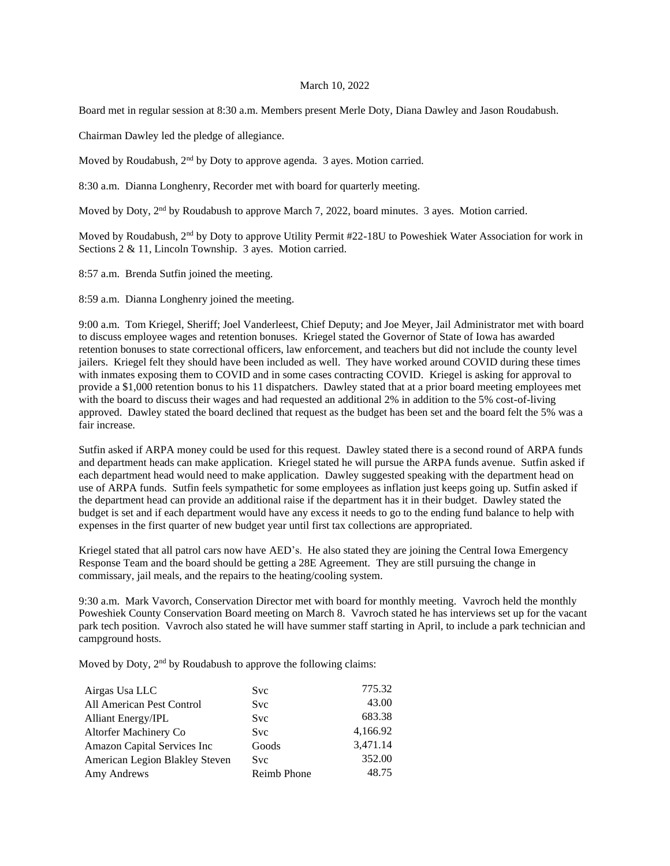## March 10, 2022

Board met in regular session at 8:30 a.m. Members present Merle Doty, Diana Dawley and Jason Roudabush.

Chairman Dawley led the pledge of allegiance.

Moved by Roudabush, 2<sup>nd</sup> by Doty to approve agenda. 3 ayes. Motion carried.

8:30 a.m. Dianna Longhenry, Recorder met with board for quarterly meeting.

Moved by Doty, 2<sup>nd</sup> by Roudabush to approve March 7, 2022, board minutes. 3 ayes. Motion carried.

Moved by Roudabush, 2nd by Doty to approve Utility Permit #22-18U to Poweshiek Water Association for work in Sections 2 & 11, Lincoln Township. 3 ayes. Motion carried.

8:57 a.m. Brenda Sutfin joined the meeting.

8:59 a.m. Dianna Longhenry joined the meeting.

9:00 a.m. Tom Kriegel, Sheriff; Joel Vanderleest, Chief Deputy; and Joe Meyer, Jail Administrator met with board to discuss employee wages and retention bonuses. Kriegel stated the Governor of State of Iowa has awarded retention bonuses to state correctional officers, law enforcement, and teachers but did not include the county level jailers. Kriegel felt they should have been included as well. They have worked around COVID during these times with inmates exposing them to COVID and in some cases contracting COVID. Kriegel is asking for approval to provide a \$1,000 retention bonus to his 11 dispatchers. Dawley stated that at a prior board meeting employees met with the board to discuss their wages and had requested an additional 2% in addition to the 5% cost-of-living approved. Dawley stated the board declined that request as the budget has been set and the board felt the 5% was a fair increase.

Sutfin asked if ARPA money could be used for this request. Dawley stated there is a second round of ARPA funds and department heads can make application. Kriegel stated he will pursue the ARPA funds avenue. Sutfin asked if each department head would need to make application. Dawley suggested speaking with the department head on use of ARPA funds. Sutfin feels sympathetic for some employees as inflation just keeps going up. Sutfin asked if the department head can provide an additional raise if the department has it in their budget. Dawley stated the budget is set and if each department would have any excess it needs to go to the ending fund balance to help with expenses in the first quarter of new budget year until first tax collections are appropriated.

Kriegel stated that all patrol cars now have AED's. He also stated they are joining the Central Iowa Emergency Response Team and the board should be getting a 28E Agreement. They are still pursuing the change in commissary, jail meals, and the repairs to the heating/cooling system.

9:30 a.m. Mark Vavorch, Conservation Director met with board for monthly meeting. Vavroch held the monthly Poweshiek County Conservation Board meeting on March 8. Vavroch stated he has interviews set up for the vacant park tech position. Vavroch also stated he will have summer staff starting in April, to include a park technician and campground hosts.

Moved by Doty,  $2<sup>nd</sup>$  by Roudabush to approve the following claims:

| Airgas Usa LLC                 | Svc                | 775.32   |
|--------------------------------|--------------------|----------|
| All American Pest Control      | <b>Svc</b>         | 43.00    |
| Alliant Energy/IPL             | <b>Svc</b>         | 683.38   |
| Altorfer Machinery Co          | <b>Svc</b>         | 4,166.92 |
| Amazon Capital Services Inc    | Goods              | 3,471.14 |
| American Legion Blakley Steven | <b>Svc</b>         | 352.00   |
| Amy Andrews                    | <b>Reimb Phone</b> | 48.75    |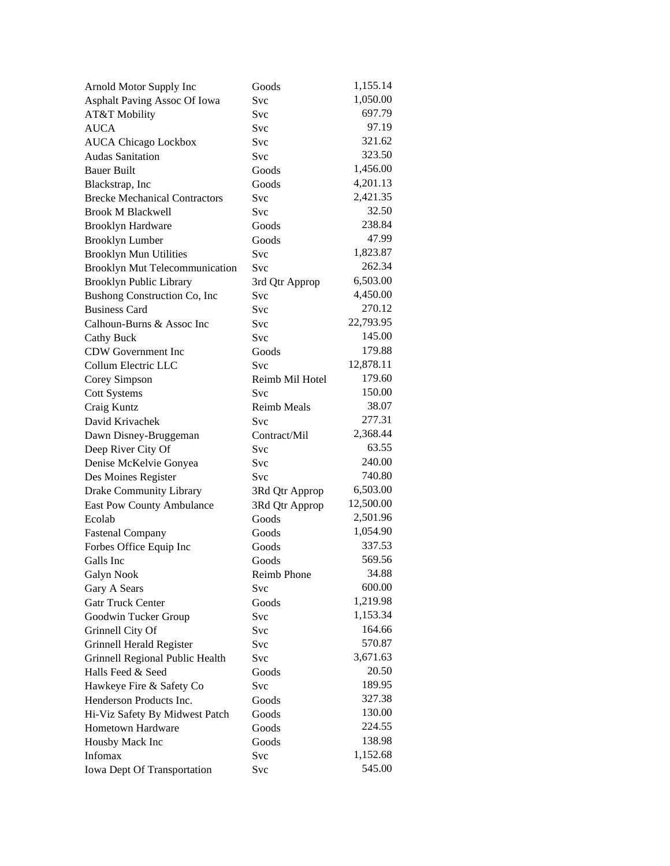| Arnold Motor Supply Inc               | Goods                   | 1,155.14  |
|---------------------------------------|-------------------------|-----------|
| <b>Asphalt Paving Assoc Of Iowa</b>   | Svc                     | 1,050.00  |
| AT&T Mobility                         | <b>Svc</b>              | 697.79    |
| <b>AUCA</b>                           | <b>Svc</b>              | 97.19     |
| <b>AUCA Chicago Lockbox</b>           | <b>Svc</b>              | 321.62    |
| <b>Audas Sanitation</b>               | <b>Svc</b>              | 323.50    |
| <b>Bauer Built</b>                    | Goods                   | 1,456.00  |
| Blackstrap, Inc                       | Goods                   | 4,201.13  |
| <b>Brecke Mechanical Contractors</b>  | <b>Svc</b>              | 2,421.35  |
| <b>Brook M Blackwell</b>              | <b>Svc</b>              | 32.50     |
| <b>Brooklyn Hardware</b>              | Goods                   | 238.84    |
| <b>Brooklyn Lumber</b>                | Goods                   | 47.99     |
| <b>Brooklyn Mun Utilities</b>         | <b>Svc</b>              | 1,823.87  |
| <b>Brooklyn Mut Telecommunication</b> | Svc                     | 262.34    |
| Brooklyn Public Library               | 3rd Qtr Approp          | 6,503.00  |
| Bushong Construction Co, Inc          | Svc                     | 4,450.00  |
| <b>Business Card</b>                  | <b>Svc</b>              | 270.12    |
| Calhoun-Burns & Assoc Inc             | Svc                     | 22,793.95 |
| <b>Cathy Buck</b>                     | <b>Svc</b>              | 145.00    |
| <b>CDW</b> Government Inc             | Goods                   | 179.88    |
| Collum Electric LLC                   | Svc                     | 12,878.11 |
| Corey Simpson                         | Reimb Mil Hotel         | 179.60    |
| <b>Cott Systems</b>                   | Svc                     | 150.00    |
| Craig Kuntz                           | <b>Reimb Meals</b>      | 38.07     |
| David Krivachek                       | Svc                     | 277.31    |
| Dawn Disney-Bruggeman                 | Contract/Mil            | 2,368.44  |
| Deep River City Of                    | <b>Svc</b>              | 63.55     |
| Denise McKelvie Gonyea                | <b>Svc</b>              | 240.00    |
| Des Moines Register                   | <b>Svc</b>              | 740.80    |
| Drake Community Library               |                         | 6,503.00  |
| East Pow County Ambulance             | 3Rd Qtr Approp          | 12,500.00 |
| Ecolab                                | 3Rd Qtr Approp<br>Goods | 2,501.96  |
|                                       | Goods                   | 1,054.90  |
| <b>Fastenal Company</b>               | Goods                   | 337.53    |
| Forbes Office Equip Inc               |                         | 569.56    |
| Galls Inc                             | Goods                   | 34.88     |
| Galyn Nook                            | Reimb Phone             |           |
| Gary A Sears                          | Svc                     | 600.00    |
| <b>Gatr Truck Center</b>              | Goods                   | 1,219.98  |
| Goodwin Tucker Group                  | Svc                     | 1,153.34  |
| Grinnell City Of                      | <b>Svc</b>              | 164.66    |
| Grinnell Herald Register              | <b>Svc</b>              | 570.87    |
| Grinnell Regional Public Health       | Svc                     | 3,671.63  |
| Halls Feed & Seed                     | Goods                   | 20.50     |
| Hawkeye Fire & Safety Co              | <b>Svc</b>              | 189.95    |
| Henderson Products Inc.               | Goods                   | 327.38    |
| Hi-Viz Safety By Midwest Patch        | Goods                   | 130.00    |
| Hometown Hardware                     | Goods                   | 224.55    |
| Housby Mack Inc                       | Goods                   | 138.98    |
| <b>Infomax</b>                        | Svc                     | 1,152.68  |
| Iowa Dept Of Transportation           | Svc                     | 545.00    |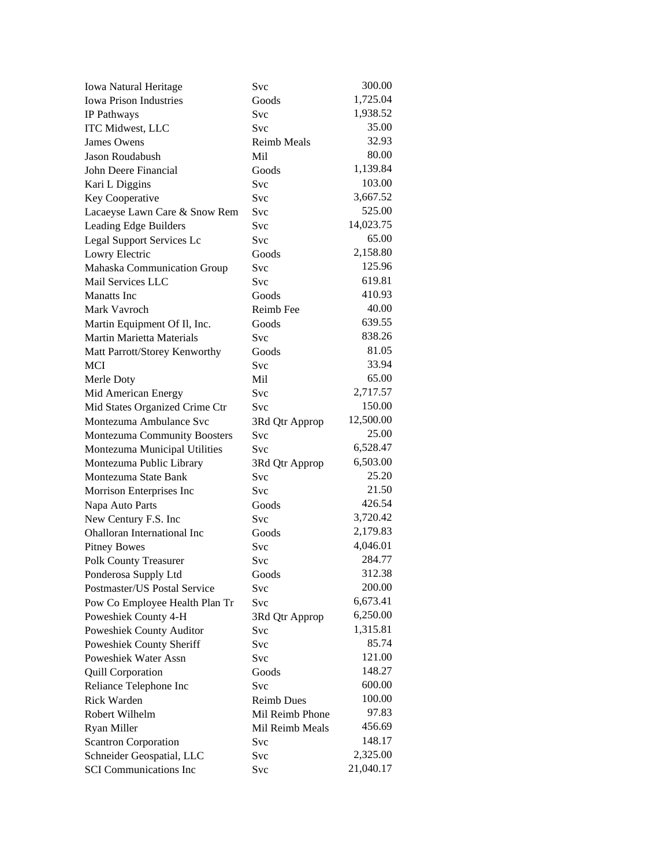| Iowa Natural Heritage               | Svc                | 300.00    |
|-------------------------------------|--------------------|-----------|
| <b>Iowa Prison Industries</b>       | Goods              | 1,725.04  |
| <b>IP</b> Pathways                  | <b>Svc</b>         | 1,938.52  |
| <b>ITC Midwest, LLC</b>             | Svc                | 35.00     |
| James Owens                         | <b>Reimb Meals</b> | 32.93     |
| Jason Roudabush                     | Mil                | 80.00     |
| John Deere Financial                | Goods              | 1,139.84  |
| Kari L Diggins                      | Svc                | 103.00    |
| Key Cooperative                     | <b>Svc</b>         | 3,667.52  |
| Lacaeyse Lawn Care & Snow Rem       | Svc                | 525.00    |
| Leading Edge Builders               | <b>Svc</b>         | 14,023.75 |
| Legal Support Services Lc           | <b>Svc</b>         | 65.00     |
| Lowry Electric                      | Goods              | 2,158.80  |
| Mahaska Communication Group         | <b>Svc</b>         | 125.96    |
| Mail Services LLC                   | <b>Svc</b>         | 619.81    |
| <b>Manatts</b> Inc.                 | Goods              | 410.93    |
| Mark Vavroch                        | Reimb Fee          | 40.00     |
| Martin Equipment Of Il, Inc.        | Goods              | 639.55    |
| Martin Marietta Materials           | Svc                | 838.26    |
| Matt Parrott/Storey Kenworthy       | Goods              | 81.05     |
| <b>MCI</b>                          | Svc                | 33.94     |
| Merle Doty                          | Mil                | 65.00     |
| Mid American Energy                 | Svc                | 2,717.57  |
| Mid States Organized Crime Ctr      | Svc                | 150.00    |
| Montezuma Ambulance Svc             | 3Rd Qtr Approp     | 12,500.00 |
| <b>Montezuma Community Boosters</b> | Svc                | 25.00     |
| Montezuma Municipal Utilities       | Svc                | 6,528.47  |
| Montezuma Public Library            | 3Rd Qtr Approp     | 6,503.00  |
| Montezuma State Bank                | Svc                | 25.20     |
| Morrison Enterprises Inc            | Svc                | 21.50     |
| Napa Auto Parts                     | Goods              | 426.54    |
| New Century F.S. Inc                | Svc                | 3,720.42  |
| <b>Ohalloran International Inc</b>  | Goods              | 2,179.83  |
| <b>Pitney Bowes</b>                 | Svc                | 4,046.01  |
| Polk County Treasurer               | Svc                | 284.77    |
| Ponderosa Supply Ltd                | Goods              | 312.38    |
| Postmaster/US Postal Service        | Svc                | 200.00    |
| Pow Co Employee Health Plan Tr      | Svc                | 6,673.41  |
| Poweshiek County 4-H                | 3Rd Qtr Approp     | 6,250.00  |
| Poweshiek County Auditor            | Svc                | 1,315.81  |
| Poweshiek County Sheriff            | Svc                | 85.74     |
| Poweshiek Water Assn                | Svc                | 121.00    |
| <b>Quill Corporation</b>            | Goods              | 148.27    |
| Reliance Telephone Inc              | Svc                | 600.00    |
| Rick Warden                         | <b>Reimb Dues</b>  | 100.00    |
| Robert Wilhelm                      | Mil Reimb Phone    | 97.83     |
| Ryan Miller                         | Mil Reimb Meals    | 456.69    |
| <b>Scantron Corporation</b>         | Svc                | 148.17    |
| Schneider Geospatial, LLC           | Svc                | 2,325.00  |
| <b>SCI</b> Communications Inc       | Svc                | 21,040.17 |
|                                     |                    |           |